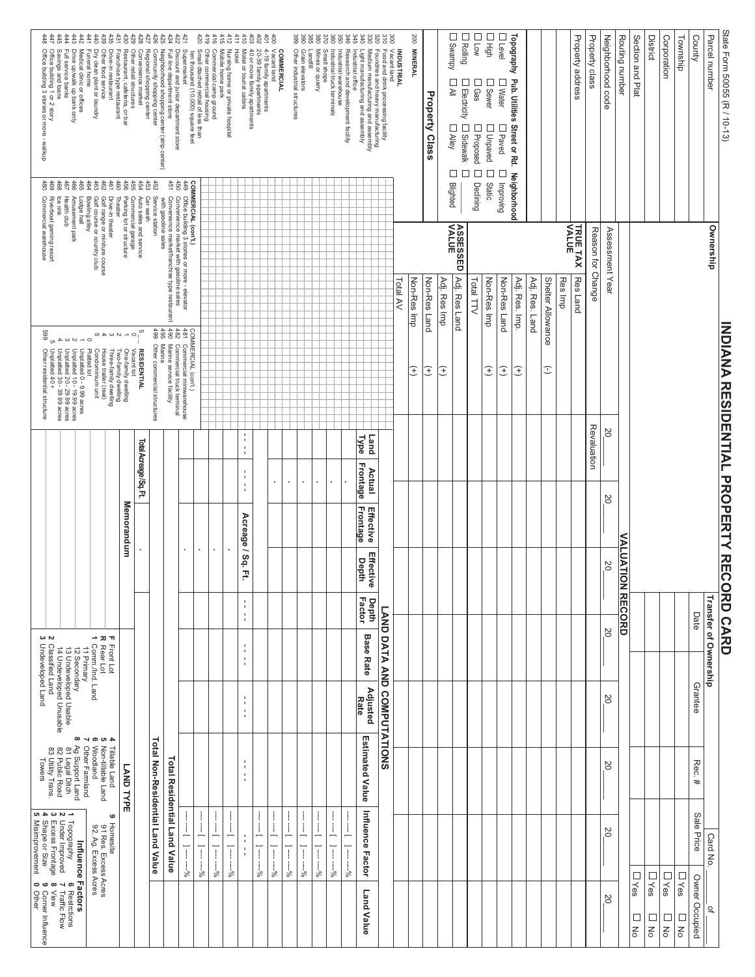## State Form 50055 (R / 10-13) Parcel number Topography Pub. Utilities 200 MINERAL Property address Property class Neighborhood code Routing number Section and Plat District Corporation Township County Small shops<br>Mines or quarry<br>Innes or quarry  $\mathcal{S}$ Full line department store<br>Neighborhood shopping center (strip center)<br>Community shopping center<br>Regional shopping center Commercial camp ground<br>Other commercial housing<br>Small dtached rettail of less than<br>ten thousand (10,000) square feet 4-19 family apartments<br>20-39 family apartments<br>40 or more family apartments Vacant land<br>Food and drink processing facility<br>Foundries and heavy manufacturing<br>Medium manufacturing and assembly Savings and loans<br>Office building 1 or 2 story<br>Office building 3 stories or more - walkup Drive up/walk up bank only<br>Full service banks Medical clinic or offices Dry clean plant or laundry Other food service Drive-in restaurant Franchise type restaurant Restaurant, cafeteria, or bar Other retail structures Discount and junior department store Supermarket Mobile home park Vacant land Grain elevators<br>Other industrial structures Industrial warehouse<br>Industrial truck terminals Industrial office<br>Research and development facility **Funeral home** Nursing home or private hospital **Hote** Motel or tourist cabins **COMMERCIAL** Light manufacturing and assembly **INDUSTRIAL** Landfill venience market D Water<br>D Gass<br>D Gass [<br>D Flectricity [<br>D All [ Property Class □ Paved □ Improving<br>□ Unpaved □ Static<br>□ Proposed □ Declining |  $\Box$  Sidewalk<br> $\Box$  Alley Street or Rd. Neighborhood  $\square$   $\square$  $rac{46}{62}$ **COMMERCIAL (con't)**<br>**COMMERCIAL (con't)**<br>450 Convenience market with gasoline seles<br>451 Convenience market/franchise type restaurant<br>451 Convenience market/franchise type restaurant Blighted 3 Amusement park<br>7 Health club<br>3 Ice rink<br>9 Riverbad gaming resort<br>1 Commercial warehouse Golf range or miniture course<br>Golf course or country club Bowling alley Drive-in theater Parking lot or structure Commercial garage Auto sales and service Car wash Service station Lodge hall Theater with gasoline sales ASSESSED TRUETAX Reason for Change Assessment Year Ownership Adj. Res Land Res Land Non-Res Imp Adj. Res Imp Non-Res Imp Non-Res Land Adj. Res. Imp. Adj. Res. Land Shelter Allowance Res Imp Total AV Non-Res Land Total TTV COMMERCIAL (con't.)<br>42 Commercial truck terminal<br>432 Commercial truck terminal<br>432 Commercial truck terminal<br>496 Mher commercial structures<br>498 Other commercial structures **NDIANA RESIDENTIAL PROPERTY RECORD CARD** 669 One-finally dwelling<br>Three-finally dwelling<br>Three-finally dwelling<br>Condes trailler (tont)<br>Condes trailer (tont)<br>Condes trailer (tont)<br>Dipertited 40 + - 399 acres<br>1 Unplatted 40 + - 399 acres<br>5 Unplatted 40 + - 399 acres<br>5 Other residential structure **RESIDENTIAL** Vacant lot  $\widehat{f}$  $\widehat{f}$ E  $\widehat{f}$  $\Big| \widehat{\pm}$  $\hat{t}$  $\hat{\mathbf{C}}$ Revaluation ΣÓ,  $\frac{1}{4}$ Type **Land** Total Acreage/Sq. Ft. t **Frontage**  $\frac{1}{4}$ Actual l, l,  $\frac{1}{4}$ 20 Memorandum **Frontage** Effective Acreage / Sq. Ft. **VALUATION RECORD** t, l, Effective **Depth** ΣÓ, **Depth**<br>Factor Transfer of Ownership ł LAND DATA AND COMPUTATIONS Date  $\begin{array}{c}\n\begin{array}{c}\n\vdots \\
\downarrow \\
\downarrow \\
\downarrow\n\end{array} & \begin{array}{c}\n\uparrow \\
\downarrow \\
\downarrow \\
\downarrow\n\end{array} & \begin{array}{c}\n\uparrow \\
\downarrow \\
\downarrow\n\end{array} & \begin{array}{c}\n\downarrow \\
\downarrow \\
\downarrow\n\end{array} & \begin{array}{c}\n\downarrow \\
\downarrow \\
\downarrow\n\end{array} & \begin{array}{c}\n\downarrow \\
\downarrow \\
\downarrow\n\end{array} & \begin{array}{c}\n\downarrow \\
\downarrow \\
\downarrow\n\end{array} & \begin{array}{c}\n\downarrow \\
\downarrow \\
\downarrow \\
\down$  $\begin{tabular}{c} \multicolumn{1}{c}{\textbf{--}} \multicolumn{1}{c}{\textbf{--}} \multicolumn{1}{c}{\textbf{--}} \multicolumn{1}{c}{\textbf{--}} \multicolumn{1}{c}{\textbf{--}} \multicolumn{1}{c}{\textbf{--}} \multicolumn{1}{c}{\textbf{2--}} \multicolumn{1}{c}{\textbf{2--}} \multicolumn{1}{c}{\textbf{2--}} \multicolumn{1}{c}{\textbf{2--}} \multicolumn{1}{c}{\textbf{2--}} \multicolumn{1}{c}{\textbf{2--}} \multicolumn{1}{c}{\textbf{2--}} \multicolumn{1}{c}{\$ 20 **Base Rate** ţ 12 Secondary<br>13 Undeveloped Usable Adjusted<br>Rate Grantee  $\frac{1}{4}$ 20 ÷ **Estimated Value** √ თ თ **5** Non-tillable Land<br>6 Woodland<br>7 Other Farmland **Total Non-Residential Land Value** 8 Ag Support Land<br>81 Legal Ditch<br>82 Public Road<br>83 Utility Trans. **Tillable Land Total Residential Land Value**  $\frac{1}{2}$ Rec.# lowers 20 LAND TYPE Influence Factor **2020** Ť  $\mathbf{I}$ 1 Topography<br>1 Topography 6 Restrctions<br>2 Excess Frontage 8 View<br>4 Shape or Size<br>5 Misimprovement 0 Other<br>5 Misimprovement 0 Other Ť  $\mathbf{I}$ Sale Price G **9** Homesite<br>91 Res. Excess Acres<br>92. Ag. Excess Acres  $\overline{\phantom{a}}$  $\frac{1}{2}$  $\frac{1}{1}$  $-1 - -\frac{1}{2}$  $\perp$ Ţ  $\frac{1}{1}$  $\overline{1}$ Ī 20  $\frac{1}{2}$ Card No.  $1 - - -66$ Influence Factors  $1 - - -66$  $\overline{1}$  $\overline{1}$  $\overline{1}$  $\vec{I}$  $1 - -66$  $-\frac{9}{6}$  $-\frac{96}{6}$  $- -66$  $-\frac{9}{9}$  $- -66$ **□Yes DYes** □ Yes  $\Box$  Yes Owner Occupied s 8 View<br>**9** Corner Influence<br>: **0** Other Land Value 20 ٍ`<br>ب  $\frac{1}{8}$  $\Box$  $\Box$  $\Box$  $\overline{5}$  $\overline{5}$  $\frac{1}{\sqrt{2}}$